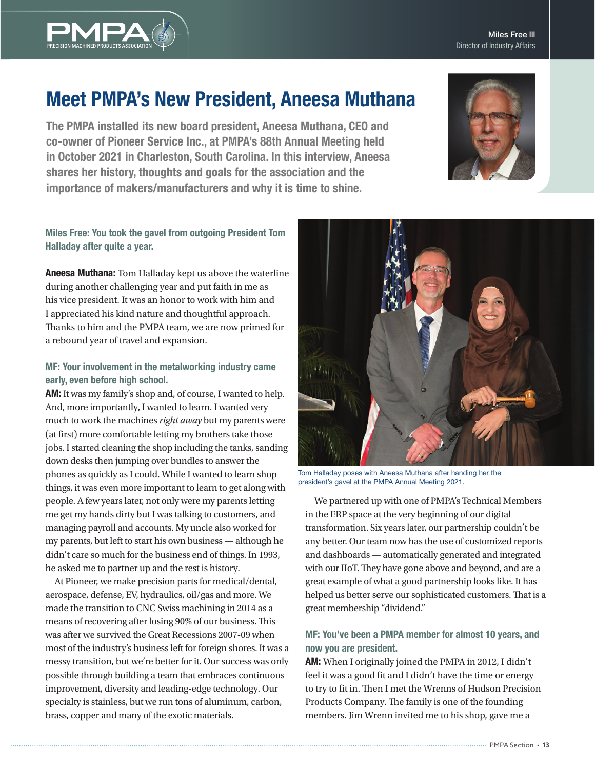

# Meet PMPA's New President, Aneesa Muthana

The PMPA installed its new board president, Aneesa Muthana, CEO and co-owner of Pioneer Service Inc., at PMPA's 88th Annual Meeting held in October 2021 in Charleston, South Carolina. In this interview, Aneesa shares her history, thoughts and goals for the association and the importance of makers/manufacturers and why it is time to shine.



## Miles Free: You took the gavel from outgoing President Tom Halladay after quite a year.

Aneesa Muthana: Tom Halladay kept us above the waterline during another challenging year and put faith in me as his vice president. It was an honor to work with him and I appreciated his kind nature and thoughtful approach. Thanks to him and the PMPA team, we are now primed for a rebound year of travel and expansion.

# MF: Your involvement in the metalworking industry came early, even before high school.

AM: It was my family's shop and, of course, I wanted to help. And, more importantly, I wanted to learn. I wanted very much to work the machines *right away* but my parents were (at first) more comfortable letting my brothers take those jobs. I started cleaning the shop including the tanks, sanding down desks then jumping over bundles to answer the phones as quickly as I could. While I wanted to learn shop things, it was even more important to learn to get along with people. A few years later, not only were my parents letting me get my hands dirty but I was talking to customers, and managing payroll and accounts. My uncle also worked for my parents, but left to start his own business — although he didn't care so much for the business end of things. In 1993, he asked me to partner up and the rest is history.

At Pioneer, we make precision parts for medical/dental, aerospace, defense, EV, hydraulics, oil/gas and more. We made the transition to CNC Swiss machining in 2014 as a means of recovering after losing 90% of our business. This was after we survived the Great Recessions 2007-09 when most of the industry's business left for foreign shores. It was a messy transition, but we're better for it. Our success was only possible through building a team that embraces continuous improvement, diversity and leading-edge technology. Our specialty is stainless, but we run tons of aluminum, carbon, brass, copper and many of the exotic materials.



Tom Halladay poses with Aneesa Muthana after handing her the president's gavel at the PMPA Annual Meeting 2021.

We partnered up with one of PMPA's Technical Members in the ERP space at the very beginning of our digital transformation. Six years later, our partnership couldn't be any better. Our team now has the use of customized reports and dashboards — automatically generated and integrated with our IIoT. They have gone above and beyond, and are a great example of what a good partnership looks like. It has helped us better serve our sophisticated customers. That is a great membership "dividend."

# MF: You've been a PMPA member for almost 10 years, and now you are president.

AM: When I originally joined the PMPA in 2012, I didn't feel it was a good fit and I didn't have the time or energy to try to fit in. Then I met the Wrenns of Hudson Precision Products Company. The family is one of the founding members. Jim Wrenn invited me to his shop, gave me a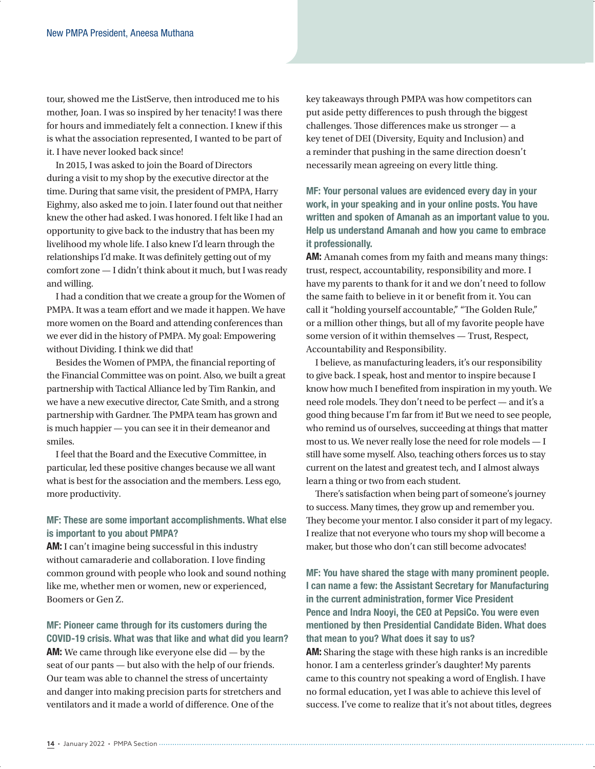tour, showed me the ListServe, then introduced me to his mother, Joan. I was so inspired by her tenacity! I was there for hours and immediately felt a connection. I knew if this is what the association represented, I wanted to be part of it. I have never looked back since!

In 2015, I was asked to join the Board of Directors during a visit to my shop by the executive director at the time. During that same visit, the president of PMPA, Harry Eighmy, also asked me to join. I later found out that neither knew the other had asked. I was honored. I felt like I had an opportunity to give back to the industry that has been my livelihood my whole life. I also knew I'd learn through the relationships I'd make. It was definitely getting out of my comfort zone — I didn't think about it much, but I was ready and willing.

I had a condition that we create a group for the Women of PMPA. It was a team effort and we made it happen. We have more women on the Board and attending conferences than we ever did in the history of PMPA. My goal: Empowering without Dividing. I think we did that!

Besides the Women of PMPA, the financial reporting of the Financial Committee was on point. Also, we built a great partnership with Tactical Alliance led by Tim Rankin, and we have a new executive director, Cate Smith, and a strong partnership with Gardner. The PMPA team has grown and is much happier — you can see it in their demeanor and smiles.

I feel that the Board and the Executive Committee, in particular, led these positive changes because we all want what is best for the association and the members. Less ego, more productivity.

## MF: These are some important accomplishments. What else is important to you about PMPA?

AM: I can't imagine being successful in this industry without camaraderie and collaboration. I love finding common ground with people who look and sound nothing like me, whether men or women, new or experienced, Boomers or Gen Z.

#### MF: Pioneer came through for its customers during the COVID-19 crisis. What was that like and what did you learn?

AM: We came through like everyone else did — by the seat of our pants — but also with the help of our friends. Our team was able to channel the stress of uncertainty and danger into making precision parts for stretchers and ventilators and it made a world of difference. One of the

key takeaways through PMPA was how competitors can put aside petty differences to push through the biggest challenges. Those differences make us stronger — a key tenet of DEI (Diversity, Equity and Inclusion) and a reminder that pushing in the same direction doesn't necessarily mean agreeing on every little thing.

MF: Your personal values are evidenced every day in your work, in your speaking and in your online posts. You have written and spoken of Amanah as an important value to you. Help us understand Amanah and how you came to embrace it professionally.

AM: Amanah comes from my faith and means many things: trust, respect, accountability, responsibility and more. I have my parents to thank for it and we don't need to follow the same faith to believe in it or benefit from it. You can call it "holding yourself accountable," "The Golden Rule," or a million other things, but all of my favorite people have some version of it within themselves — Trust, Respect, Accountability and Responsibility.

I believe, as manufacturing leaders, it's our responsibility to give back. I speak, host and mentor to inspire because I know how much I benefited from inspiration in my youth. We need role models. They don't need to be perfect — and it's a good thing because I'm far from it! But we need to see people, who remind us of ourselves, succeeding at things that matter most to us. We never really lose the need for role models — I still have some myself. Also, teaching others forces us to stay current on the latest and greatest tech, and I almost always learn a thing or two from each student.

There's satisfaction when being part of someone's journey to success. Many times, they grow up and remember you. They become your mentor. I also consider it part of my legacy. I realize that not everyone who tours my shop will become a maker, but those who don't can still become advocates!

MF: You have shared the stage with many prominent people. I can name a few: the Assistant Secretary for Manufacturing in the current administration, former Vice President Pence and Indra Nooyi, the CEO at PepsiCo. You were even mentioned by then Presidential Candidate Biden. What does that mean to you? What does it say to us?

AM: Sharing the stage with these high ranks is an incredible honor. I am a centerless grinder's daughter! My parents came to this country not speaking a word of English. I have no formal education, yet I was able to achieve this level of success. I've come to realize that it's not about titles, degrees